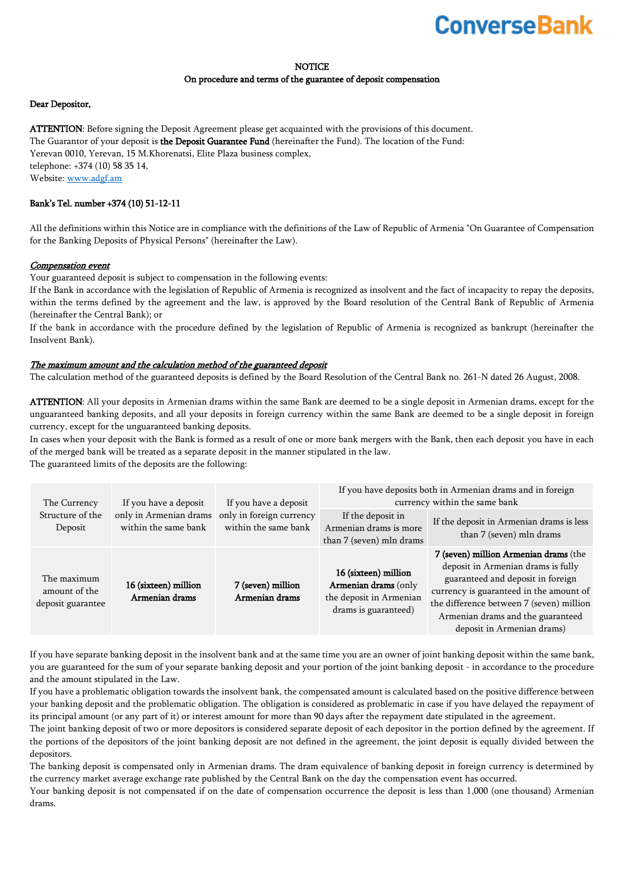# **Converse Bank**

#### **NOTICE**

#### On procedure and terms of the guarantee of deposit compensation

#### Dear Depositor,

ATTENTION: Before signing the Deposit Agreement please get acquainted with the provisions of this document. The Guarantor of your deposit is the Deposit Guarantee Fund (hereinafter the Fund). The location of the Fund: Yerevan 0010, Yerevan, 15 M.Khorenatsi, Elite Plaza business complex, telephone: +374 (10) 58 35 14, Website: [www.adgf.am](http://www.adgf.am/) 

### Bank's Tel. number +374 (10) 51-12-11

All the definitions within this Notice are in compliance with the definitions of the Law of Republic of Armenia "On Guarantee of Compensation for the Banking Deposits of Physical Persons" (hereinafter the Law).

#### Compensation event

Your guaranteed deposit is subject to compensation in the following events:

If the Bank in accordance with the legislation of Republic of Armenia is recognized as insolvent and the fact of incapacity to repay the deposits, within the terms defined by the agreement and the law, is approved by the Board resolution of the Central Bank of Republic of Armenia (hereinafter the Central Bank); or

If the bank in accordance with the procedure defined by the legislation of Republic of Armenia is recognized as bankrupt (hereinafter the Insolvent Bank).

#### The maximum amount and the calculation method of the guaranteed deposit

The calculation method of the guaranteed deposits is defined by the Board Resolution of the Central Bank no. 261-N dated 26 August, 2008.

ATTENTION: All your deposits in Armenian drams within the same Bank are deemed to be a single deposit in Armenian drams, except for the unguaranteed banking deposits, and all your deposits in foreign currency within the same Bank are deemed to be a single deposit in foreign currency, except for the unguaranteed banking deposits.

In cases when your deposit with the Bank is formed as a result of one or more bank mergers with the Bank, then each deposit you have in each of the merged bank will be treated as a separate deposit in the manner stipulated in the law.

The guaranteed limits of the deposits are the following:

| The Currency<br>Structure of the<br>Deposit       | If you have a deposit<br>only in Armenian drams<br>within the same bank | If you have a deposit<br>only in foreign currency<br>within the same bank | If you have deposits both in Armenian drams and in foreign<br>currency within the same bank     |                                                                                                                                                                                                                                                                            |
|---------------------------------------------------|-------------------------------------------------------------------------|---------------------------------------------------------------------------|-------------------------------------------------------------------------------------------------|----------------------------------------------------------------------------------------------------------------------------------------------------------------------------------------------------------------------------------------------------------------------------|
|                                                   |                                                                         |                                                                           | If the deposit in<br>Armenian drams is more<br>than 7 (seven) mln drams                         | If the deposit in Armenian drams is less<br>than 7 (seven) mln drams                                                                                                                                                                                                       |
| The maximum<br>amount of the<br>deposit guarantee | 16 (sixteen) million<br>Armenian drams                                  | 7 (seven) million<br>Armenian drams                                       | 16 (sixteen) million<br>Armenian drams (only<br>the deposit in Armenian<br>drams is guaranteed) | 7 (seven) million Armenian drams (the<br>deposit in Armenian drams is fully<br>guaranteed and deposit in foreign<br>currency is guaranteed in the amount of<br>the difference between 7 (seven) million<br>Armenian drams and the guaranteed<br>deposit in Armenian drams) |

If you have separate banking deposit in the insolvent bank and at the same time you are an owner of joint banking deposit within the same bank, you are guaranteed for the sum of your separate banking deposit and your portion of the joint banking deposit - in accordance to the procedure and the amount stipulated in the Law.

If you have a problematic obligation towards the insolvent bank, the compensated amount is calculated based on the positive difference between your banking deposit and the problematic obligation. The obligation is considered as problematic in case if you have delayed the repayment of its principal amount (or any part of it) or interest amount for more than 90 days after the repayment date stipulated in the agreement.

The joint banking deposit of two or more depositors is considered separate deposit of each depositor in the portion defined by the agreement. If the portions of the depositors of the joint banking deposit are not defined in the agreement, the joint deposit is equally divided between the depositors.

The banking deposit is compensated only in Armenian drams. The dram equivalence of banking deposit in foreign currency is determined by the currency market average exchange rate published by the Central Bank on the day the compensation event has occurred.

Your banking deposit is not compensated if on the date of compensation occurrence the deposit is less than 1,000 (one thousand) Armenian drams.